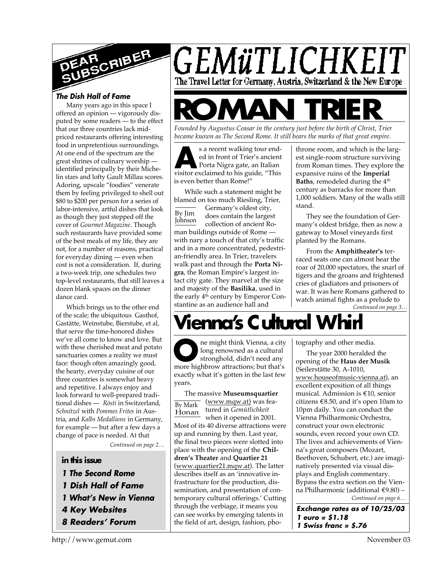

# *The Dish Hall of Fame*

Many years ago in this space I offered an opinion — vigorously disputed by some readers — to the effect that our three countries lack midpriced restaurants offering interesting food in unpretentious surroundings. At one end of the spectrum are the great shrines of culinary worship identified principally by their Michelin stars and lofty Gault Millau scores. Adoring, upscale "foodies" venerate them by feeling privileged to shell out \$80 to \$200 per person for a series of labor-intensive, artful dishes that look as though they just stepped off the cover of *Gourmet Magazine*. Though such restaurants have provided some of the best meals of my life, they are not, for a number of reasons, practical for everyday dining — even when cost is not a consideration. If, during a two-week trip, one schedules two top-level restaurants, that still leaves a dozen blank spaces on the dinner dance card.

Which brings us to the other end of the scale; the ubiquitous Gasthof, Gastätte, Weinstube, Bierstube, et al, that serve the time-honored dishes we've all come to know and love. But with these cherished meat and potato sanctuaries comes a reality we must face: though often amazingly good, the hearty, everyday cuisine of our three countries is somewhat heavy and repetitive. I always enjoy and look forward to well-prepared traditional dishes — *Rösti* in Switzerland, *Schnitzel* with *Pommes Frites* in Austria, and *Kalbs Medallions* in Germany, for example — but after a few days a change of pace is needed. At that

*Continued on page 2…*

# **in this issue**

- *1 The Second Rome*
- *1 Dish Hall of Fame*
- *1 What's New in Vienna*
- *4 Key Websites*
- *8 Readers' Forum*



# **ROMAN TRIER**

*Founded by Augustus Ceasar in the century just before the birth of Christ, Trier became known as The Second Rome. It still bears the marks of that great empire.*

s a recent walking tour end-<br>ed in front of Trier's ancient<br>Porta Nigra gate, an Italian<br>visitor exclaimed to his guide, "This s a recent walking tour ended in front of Trier's ancient Porta Nigra gate, an Italian is even better than Rome!"

While such a statement might be blamed on too much Riesling, Trier,

By Jim Johnson Germany's oldest city, does contain the largest collection of ancient Roman buildings outside of Rome with nary a touch of that city's traffic and in a more concentrated, pedestrian-friendly area. In Trier, travelers walk past and through the **Porta Nigra**, the Roman Empire's largest intact city gate. They marvel at the size and majesty of the **Basilika**, used in the early 4<sup>th</sup> century by Emperor Constantine as an audience hall and

throne room, and which is the largest single-room structure surviving from Roman times. They explore the expansive ruins of the **Imperial Baths**, remodeled during the 4<sup>th</sup> century as barracks for more than 1,000 soldiers. Many of the walls still stand.

They see the foundation of Germany's oldest bridge, then as now a gateway to Mosel vineyards first planted by the Romans.

*Continued on page 3…* From the **Amphitheater's** terraced seats one can almost hear the roar of 20,000 spectators, the snarl of tigers and the groans and frightened cries of gladiators and prisoners of war. It was here Romans gathered to watch animal fights as a prelude to

# **Vienna's Cultural Whi**r

**O**me might think Vienna, a city<br>
stronghold, didn't need any<br>
more highbrow attractions; but that's ne might think Vienna, a city long renowned as a cultural stronghold, didn't need any exactly what it's gotten in the last few years.

By Mark Honan The massive **Museumsquartier** (www.mqw.at) was featured in *Gemütlichkeit* when it opened in 2001. Most of its 40 diverse attractions were up and running by then. Last year, the final two pieces were slotted into place with the opening of the **Children's Theater** and **Quartier 21** (www.quartier21.mqw.at). The latter describes itself as an 'innovative infrastructure for the production, dissemination, and presentation of contemporary cultural offerings.' Cutting through the verbiage, it means you can see works by emerging talents in the field of art, design, fashion, photography and other media.

*Continued on page 6…* The year 2000 heralded the opening of the **Haus der Musik** (Seilerstätte 30, A-1010, www.houseofmusic-vienna.at), an excellent exposition of all things musical. Admission is €10, senior citizens  $\text{\textsterling}8.50$ , and it's open 10am to 10pm daily. You can conduct the Vienna Philharmonic Orchestra, construct your own electronic sounds, even record your own CD. The lives and achievements of Vienna's great composers (Mozart, Beethoven, Schubert, etc.) are imaginatively presented via visual displays and English commentary. Bypass the extra section on the Vienna Philharmonic (additional €9.80) –

*Exchange rates as of 10/25/03 1 euro = \$1.18 1 Swiss franc = \$.76*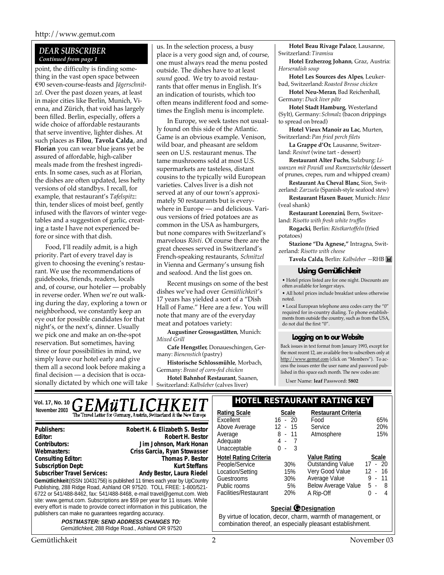# *DEAR SUBSCRIBER Continued from page 1*

point, the difficulty is finding something in the vast open space between €90 seven-course-feasts and *Jägerschnitzel.* Over the past dozen years, at least in major cities like Berlin, Munich, Vienna, and Zürich, that void has largely been filled. Berlin, especially, offers a wide choice of affordable restaurants that serve inventive, lighter dishes. At such places as **Filou**, **Tavola Calda**, and **Florian** you can wear blue jeans yet be assured of affordable, high-caliber meals made from the freshest ingredients. In some cases, such as at Florian, the dishes are often updated, less hefty versions of old standbys. I recall, for example, that restaurant's *Tafelspitz*: thin, tender slices of moist beef, gently infused with the flavors of winter vegetables and a suggestion of garlic, creating a taste I have not experienced before or since with that dish.

Food, I'll readily admit, is a high priority. Part of every travel day is given to choosing the evening's restaurant. We use the recommendations of guidebooks, friends, readers, locals and, of course, our hotelier — probably in reverse order. When we're out walking during the day, exploring a town or neighborhood, we constantly keep an eye out for possible candidates for that night's, or the next's, dinner. Usually we pick one and make an on-the-spot reservation. But sometimes, having three or four possibilities in mind, we simply leave our hotel early and give them all a second look before making a final decision — a decision that is occasionally dictated by which one will take us. In the selection process, a busy place is a very good sign and, of course, one must always read the menu posted outside. The dishes have to at least *sound* good. We try to avoid restaurants that offer menus in English. It's an indication of tourists, which too often means indifferent food and sometimes the English menu is incomplete.

In Europe, we seek tastes not usually found on this side of the Atlantic. Game is an obvious example. Venison, wild boar, and pheasant are seldom seen on U.S. restaurant menus. The tame mushrooms sold at most U.S. supermarkets are tasteless, distant cousins to the typically wild European varieties. Calves liver is a dish not served at any of our town's approximately 50 restaurants but is everywhere in Europe — and delicious. Various versions of fried potatoes are as common in the USA as hamburgers, but none compares with Switzerland's marvelous *Rösti*. Of course there are the great cheeses served in Switzerland's French-speaking restaurants, *Schnitzel* in Vienna and Germany's unsung fish and seafood. And the list goes on.

Recent musings on some of the best dishes we've had over *Gemütlichkeit*'s 17 years has yielded a sort of a "Dish Hall of Fame." Here are a few. You will note that many are of the everyday meat and potatoes variety:

**Augustiner Grossgastätten**, Munich: *Mixed Grill*

**Cafe Hengstler**, Donaueschingen, Germany: *Bienenstich* (pastry)

**Historische Schlossmühle**, Morbach, Germany: *Breast of corn-fed chicken*

**Hotel Bahnhof Restaurant**, Saanen, Switzerland: *Kalbsleber* (calves liver)

**Hotel Beau Rivage Palace**, Lausanne, Switzerland: *Tiramisu*

**Hotel Erzherzog Johann**, Graz, Austria: *Horseradish soup*

**Hotel Les Sources des Alpes**, Leukerbad, Switzerland: *Roasted Bresse chicken*

**Hotel Neu-Meran**, Bad Reichenhall, Germany: *Duck liver pâte*

**Hotel Stadt Hamburg**, Westerland (Sylt), Germany: *Schmalz* (bacon drippings to spread on bread)

**Hotel Vieux Manoir au Lac**, Murten, Switzerland: *Pan fried perch filets*

**La Grappe d'Or**, Lausanne, Switzerland: *Resinet* (wine tart - dessert)

**Restaurant Alter Fuchs**, Salzburg: *Liwanzen mit Powidl und Rumzwetschke* (dessert of prunes, crepes, rum and whipped cream)

**Restaurant Au Cheval Blanc**, Sion, Switzerland: *Zarzuela* (Spanish-style seafood stew)

**Restaurant Haxen Bauer**, Munich: *Haxe* (veal shank)

**Restaurant Lorenzini**, Bern, Switzerland: *Risotto with fresh white truffles*

**Rogacki**, Berlin: *Röstkartoffeln* (fried potatoes)

**Stazione "Da Agnese,"** Intragna, Switzerland: *Risotto with cheese*

**Tavola Calda**, Berlin: *Kalbsleber —*RHB

# **Using Gemütlichkeit**

• Hotel prices listed are for one night. Discounts are often available for longer stays.

• All hotel prices include breakfast unless otherwise noted.

• Local European telephone area codes carry the "0" required for in-country dialing. To phone establishments from outside the country, such as from the USA, do not dial the first "0".

### **Logging on to our Website**

Back issues in text format from January 1993, except for the most recent 12, are available free to subscribers only at http://www.gemut.com (click on "Members"). To access the issues enter the user name and password published in this space each month. The new codes are:

User Name: **leaf** Password: **5802**

# Vol. 17, No. 10 **GEMÜTLICHKEIT** | **HOTEL RESTAURANT RATING KEY** November 2003<br>
The Travel Letter for Germany, Austria, Switzerland & the New Europe<br> **Rational Scale**

**Gemütlichkeit** (ISSN 10431756) is published 11 times each year by UpCountry Publishing, 288 Ridge Road, Ashland OR 97520. TOLL FREE: 1-800/521- 6722 or 541/488-8462, fax: 541/488-8468, e-mail travel@gemut.com. Web site: www.gemut.com. Subscriptions are \$59 per year for 11 issues. While every effort is made to provide correct information in this publication, the publishers can make no guarantees regarding accuracy. *POSTMASTER: SEND ADDRESS CHANGES TO:* **Publishers:** Robert H. & Elizabeth S. Bestor **Publishers: Robert H. & Elizabeth S. Bestor** Editor: **Robert H. Bestor**<br>Contributors: **New State Contributors:** Jim Johnson, Mark Honan **Contributors:** Doug Linton, C. Fischer, R. Holliday, Jim Johnson **Editor: Robert H. BestorContributors: Jim Johnson, Mark Honan** Webmasters: Criss Garcia, Ryan Stowasser<br>Consulting Editor: **Paul Trimes Consulting Editor:** Thomas P. Bestor **Consulting Editor:** Thomas P. Bestor **Subscription Dept:** Subscriber Travel Services: Andy Bestor, Laura Riedel **Webmasters: Criss Garcia, Ryan StowasserConsulting Editor: Thomas P. BestorSubscription Dept: Kurt SteffansSubscriber Travel Services: Andy Bestor, Laura Riedel**

*Gemütlichkeit*, 288 Ridge Road., Ashland OR 97520

| Rating Scale                 | Scale      | <b>Restaurant Criteria</b> |              |
|------------------------------|------------|----------------------------|--------------|
| Excellent                    | $16 - 20$  | Food                       | 65%          |
| Above Average                | 12 - 15    | Service                    | 20%          |
| Average                      | 8 - 11     | Atmosphere                 | 15%          |
| Adequate                     | 4 -<br>- 7 |                            |              |
| Unacceptable                 | 3<br>ი -   |                            |              |
|                              |            | <b>Value Rating</b>        | <b>Scale</b> |
| <b>Hotel Rating Criteria</b> |            |                            |              |
| People/Service               | 30%        | <b>Outstanding Value</b>   | $17 - 20$    |
| Location/Setting             | 15%        | Very Good Value            | $12 - 16$    |
| Guestrooms                   | 30%        | Average Value              | $9 - 11$     |
| Public rooms                 | 5%         | <b>Below Average Value</b> | 5 -<br>- 8   |
| Facilities/Restaurant        | 20%        | A Rip-Off                  | U<br>4       |

# **Special G Designation**

By virtue of location, decor, charm, warmth of management, or combination thereof, an especially pleasant establishment.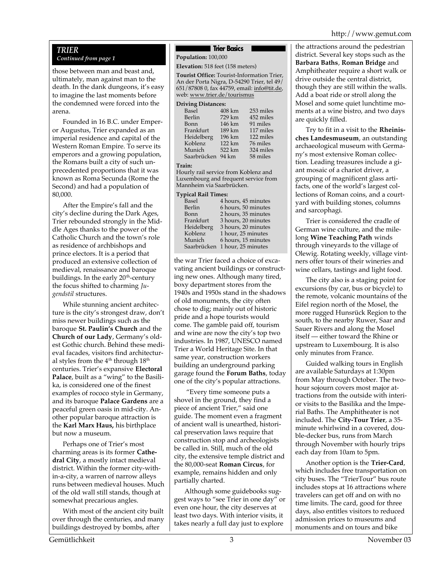# http://www.gemut.com

# *TRIER*

# *Continued from page 1*

those between man and beast and, ultimately, man against man to the death. In the dank dungeons, it's easy to imagine the last moments before the condemned were forced into the arena.

Founded in 16 B.C. under Emperor Augustus, Trier expanded as an imperial residence and capital of the Western Roman Empire. To serve its emperors and a growing population, the Romans built a city of such unprecedented proportions that it was known as Roma Secunda (Rome the Second) and had a population of 80,000.

After the Empire's fall and the city's decline during the Dark Ages, Trier rebounded strongly in the Middle Ages thanks to the power of the Catholic Church and the town's role as residence of archbishops and prince electors. It is a period that produced an extensive collection of medieval, renaissance and baroque buildings. In the early  $20<sup>th</sup>$ -century the focus shifted to charming *Jugendstil* structures.

While stunning ancient architecture is the city's strongest draw, don't miss newer buildings such as the baroque **St. Paulin's Church** and the **Church of our Lady**, Germany's oldest Gothic church. Behind these medieval facades, visitors find architectural styles from the  $4<sup>th</sup>$  through  $18<sup>th</sup>$ centuries. Trier's expansive **Electoral Palace**, built as a "wing" to the Basilika, is considered one of the finest examples of rococo style in Germany, and its baroque **Palace Gardens** are a peaceful green oasis in mid-city. Another popular baroque attraction is the **Karl Marx Haus,** his birthplace but now a museum.

Perhaps one of Trier's most charming areas is its former **Cathedral City**, a mostly intact medieval district. Within the former city-within-a-city, a warren of narrow alleys runs between medieval houses. Much of the old wall still stands, though at somewhat precarious angles.

With most of the ancient city built over through the centuries, and many buildings destroyed by bombs, after

# **Trier Basics**

**Population:** 100,000

**Elevation:** 518 feet (158 meters)

**Tourist Office:** Tourist-Information Trier, An der Porta Nigra, D-54290 Trier, tel 49/ 651/87808 0, fax 44759, email: info@tit.de, web: www.trier.de/tourismus

#### **Driving Distances:**

| Basel       | $408 \mathrm{km}$ | 253 miles |
|-------------|-------------------|-----------|
| Berlin      | 729 km            | 452 miles |
| Bonn        | 146 km            | 91 miles  |
| Frankfurt   | 189 km            | 117 miles |
| Heidelberg  | 196 km            | 122 miles |
| Koblenz     | 122 km            | 76 miles  |
| Munich      | 522 km            | 324 miles |
| Saarbrücken | 94 km             | 58 miles  |
|             |                   |           |

### **Train:**

Hourly rail service from Koblenz and Luxembourg and frequent service from Mannheim via Saarbrücken.

# **Typical Rail Times:**

| Basel       | 4 hours, 45 minutes |
|-------------|---------------------|
| Berlin      | 6 hours, 50 minutes |
| Bonn        | 2 hours, 35 minutes |
| Frankfurt   | 3 hours, 20 minutes |
| Heidelberg  | 3 hours, 20 minutes |
| Koblenz     | 1 hour, 25 minutes  |
| Munich      | 6 hours, 15 minutes |
| Saarbrücken | 1 hour, 25 minutes  |

the war Trier faced a choice of excavating ancient buildings or constructing new ones. Although many tired, boxy department stores from the 1940s and 1950s stand in the shadows of old monuments, the city often chose to dig; mainly out of historic pride and a hope tourists would come. The gamble paid off, tourism and wine are now the city's top two industries. In 1987, UNESCO named Trier a World Heritage Site. In that same year, construction workers building an underground parking garage found the **Forum Baths**, today one of the city's popular attractions.

 "Every time someone puts a shovel in the ground, they find a piece of ancient Trier," said one guide. The moment even a fragment of ancient wall is unearthed, historical preservation laws require that construction stop and archeologists be called in. Still, much of the old city, the extensive temple district and the 80,000-seat **Roman Circus**, for example, remains hidden and only partially charted.

Although some guidebooks suggest ways to "see Trier in one day" or even one hour, the city deserves at least two days. With interior visits, it takes nearly a full day just to explore

the attractions around the pedestrian district. Several key stops such as the **Barbara Baths**, **Roman Bridge** and Amphitheater require a short walk or drive outside the central district, though they are still within the walls. Add a boat ride or stroll along the Mosel and some quiet lunchtime moments at a wine bistro, and two days are quickly filled.

Try to fit in a visit to the **Rheinisches Landesmuseum**, an outstanding archaeological museum with Germany's most extensive Roman collection. Leading treasures include a giant mosaic of a chariot driver, a grouping of magnificent glass artifacts, one of the world's largest collections of Roman coins, and a courtyard with building stones, columns and sarcophagi.

Trier is considered the cradle of German wine culture, and the milelong **Wine Teaching Path** winds through vineyards to the village of Olewig. Rotating weekly, village vintners offer tours of their wineries and wine cellars, tastings and light food.

The city also is a staging point for excursions (by car, bus or bicycle) to the remote, volcanic mountains of the Eifel region north of the Mosel, the more rugged Hunsrück Region to the south, to the nearby Ruwer, Saar and Sauer Rivers and along the Mosel itself — either toward the Rhine or upstream to Luxembourg. It is also only minutes from France.

Guided walking tours in English are available Saturdays at 1:30pm from May through October. The twohour sojourn covers most major attractions from the outside with interior visits to the Basilika and the Imperial Baths. The Amphitheater is not included. The **City-Tour Trier**, a 35 minute whirlwind in a covered, double-decker bus, runs from March through November with hourly trips each day from 10am to 5pm.

Another option is the **Trier-Card**, which includes free transportation on city buses. The "TrierTour" bus route includes stops at 16 attractions where travelers can get off and on with no time limits. The card, good for three days, also entitles visitors to reduced admission prices to museums and monuments and on tours and bike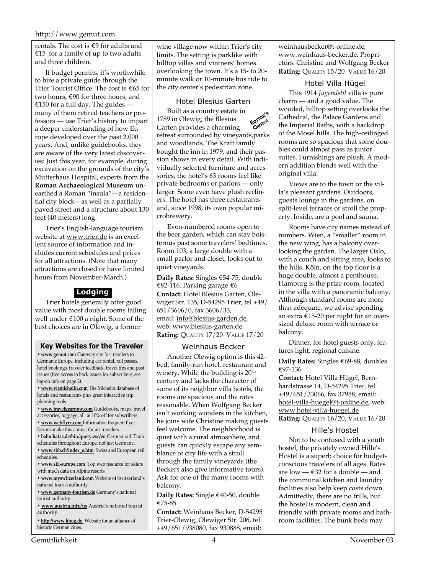# http://www.gemut.com

rentals. The cost is  $\epsilon$ 9 for adults and €15 for a family of up to two adults and three children.

If budget permits, it's worthwhile to hire a private guide through the Trier Tourist Office. The cost is €65 for two hours, €90 for three hours, and €150 for a full day. The guides  $$ many of them retired teachers or professors — use Trier's history to impart a deeper understanding of how Europe developed over the past 2,000 years. And, unlike guidebooks, they are aware of the very latest discoveries: Just this year, for example, during excavation on the grounds of the city's Mutterhaus Hospital, experts from the **Roman Archaeological Museum** unearthed a Roman "insula"—a residential city block—as well as a partially paved street and a structure about 130 feet (40 meters) long.

Trier's English-language tourism website at www.trier.de is an excellent source of information and includes current schedules and prices for all attractions. (Note that many attractions are closed or have limited hours from November-March.)

# **Lodging**

Trier hotels generally offer good value with most double rooms falling well under €100 a night. Some of the best choices are in Olewig, a former

### **Key Websites for the Traveler**

**• www.gemut.com** Gateway site for travelers to Germanic Europe, including car rental, rail passes, hotel bookings, traveler feedback, travel tips and past issues (free access to back issues for subscribers; see log-on info on page 2).

**• www.viamichelin.com** The Michelin database of hotels and restaurants plus great interactive trip planning tools.

**• www.travelgearnow.com** Guidebooks, maps, travel accessories, luggage, all at 10% off for subscribers.

- **www.webflyer.com** Informative frequent flyer forums make this a must for air travelers.
- 
- **bahn.hafas.de/bin/query.exe/en** German rail. Train schedules throughout Europe, not just Germany.
- **www.sbb.ch/index\_e.htm** Swiss and European rail schedules.
- **www.ski-europe.com** Top web resource for skiers with much data on Alpine resorts.

**• www.myswitzerland.com** Website of Switzerland's national tourist authority.

**• www.germany-tourism.de** Germany's national tourist authority.

**• www.austria.info/us** Austria's national tourist authority.

**• http://www.hhog.de** Website for an alliance of historic German cities.

wine village now within Trier's city limits. The setting is parklike with hilltop villas and vintners' homes overlooking the town. It's a 15- to 20 minute walk or 10-minute bus ride to the city center's pedestrian zone.

# Hotel Blesius Garten

Built as a country estate in Enrigte 1789 in Olewig, the Blesius **EDITOR** Garten provides a charming retreat surrounded by vineyards,parks and woodlands. The Kraft family bought the inn in 1979, and their passion shows in every detail. With individually selected furniture and accessories, the hotel's 63 rooms feel like private bedrooms or parlors — only larger. Some even have plush recliners. The hotel has three restaurants and, since 1998, its own popular microbrewery.

Even-numbered rooms open to the beer garden, which can stay boisterous past some travelers' bedtimes. Room 103, a large double with a small parlor and closet, looks out to quiet vineyards.

**Daily Rates:** Singles €54-75, double €82-116. Parking garage €6 **Contact:** Hotel Blesius Garten, Olewiger Str. 135, D-54295 Trier, tel +49/ 651/3606/0, fax 3606/33, email: info@blesius-garden.de, web: www.blesius-garten.de **Rating:** QUALITY 17/20 VALUE 17/20

# Weinhaus Becker

Another Olewig option is this 42 bed, family-run hotel, restaurant and winery. While the building is  $20<sup>th</sup>$ century and lacks the character of some of its neighbor villa hotels, the rooms are spacious and the rates reasonable. When Wolfgang Becker isn't working wonders in the kitchen, he joins wife Christine making guests feel welcome. The neighborhood is quiet with a rural atmosphere, and guests can quickly escape any semblance of city life with a stroll through the family vineyards (the Beckers also give informative tours). Ask for one of the many rooms with balcony.

**Daily Rates:** Single €40-50, double €75-85

**Contact:** Weinhaus Becker, D-54295 Trier-Olewig, Olewiger Str. 206, tel. +49/651/938080, fax 930888, email:

weinhausbecker@t-online.de, www.weinhaus-becker.de. Proprietors: Christine and Wolfgang Becker **Rating:** QUALITY 15/20 VALUE 16/20

# Hotel Villa Hügel

This 1914 *Jugendstil* villa is pure charm — and a good value. The wooded, hilltop setting overlooks the Cathedral, the Palace Gardens and the Imperial Baths, with a backdrop of the Mosel hills. The high-ceilinged rooms are so spacious that some doubles could almost pass as junior suites. Furnishings are plush. A modern addition blends well with the original villa.

Views are to the town or the villa's pleasant gardens. Outdoors, guests lounge in the gardens, on split-level terraces or stroll the property. Inside, are a pool and sauna.

Rooms have city names instead of numbers. Wien, a "smaller" room in the new wing, has a balcony overlooking the garden. The larger Oslo, with a couch and sitting area, looks to the hills. Köln, on the top floor is a huge double, almost a penthouse. Hamburg is the prize room, located in the villa with a panoramic balcony. Although standard rooms are more than adequate, we advise spending an extra €15-20 per night for an oversized deluxe room with terrace or balcony.

Dinner, for hotel guests only, features light, regional cuisine.

**Daily Rates:** Singles €69-88, doubles €97-136

**Contact:** Hotel Villa Hügel, Bernhardstrasse 14, D-54295 Trier, tel. +49/651/33066, fax 37958, email: hotel-villa-huegel@t-online.de, web: www.hotel-villa-huegel.de **Rating:** QUALITY 16/20, VALUE 16/20

### Hille's Hostel

Not to be confused with a youth hostel, the privately owned Hille's Hostel is a superb choice for budgetconscious travelers of all ages. Rates are low  $-\epsilon$ 32 for a double — and the communal kitchen and laundry facilities also help keep costs down. Admittedly, there are no frills, but the hostel is modern, clean and friendly with private rooms and bathroom facilities. The bunk beds may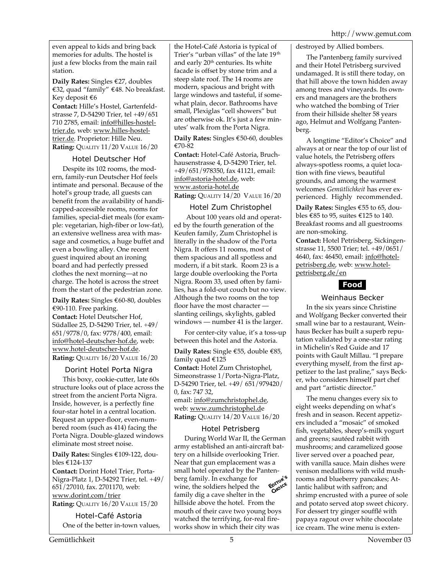even appeal to kids and bring back memories for adults. The hostel is just a few blocks from the main rail station.

**Daily Rates:** Singles €27, doubles €32, quad "family" €48. No breakfast. Key deposit €6 **Contact:** Hille's Hostel, Gartenfeldstrasse 7, D-54290 Trier, tel +49/651 710 2785, email: info@hilles-hosteltrier.de, web: www.hilles-hosteltrier.de. Proprietor: Hille Neu. **Rating:** QUALITY 11/20 VALUE 16/20

# Hotel Deutscher Hof

Despite its 102 rooms, the modern, family-run Deutscher Hof feels intimate and personal. Because of the hotel's group trade, all guests can benefit from the availability of handicapped-accessible rooms, rooms for families, special-diet meals (for example: vegetarian, high-fiber or low-fat), an extensive wellness area with massage and cosmetics, a huge buffet and even a bowling alley. One recent guest inquired about an ironing board and had perfectly pressed clothes the next morning—at no charge. The hotel is across the street from the start of the pedestrian zone.

**Daily Rates:** Singles €60-80, doubles €90-110. Free parking.

**Contact:** Hotel Deutscher Hof, Südallee 25, D-54290 Trier, tel. +49/ 651/9778/0, fax: 9778/400, email: info@hotel-deutscher-hof.de, web: www.hotel-deutscher-hof.de. **Rating:** QUALITY 16/20 VALUE 16/20

# Dorint Hotel Porta Nigra

This boxy, cookie-cutter, late 60s structure looks out of place across the street from the ancient Porta Nigra. Inside, however, is a perfectly fine four-star hotel in a central location. Request an upper-floor, even-numbered room (such as 414) facing the Porta Nigra. Double-glazed windows eliminate most street noise.

**Daily Rates:** Singles €109-122, doubles €124-137

**Contact:** Dorint Hotel Trier, Porta-Nigra-Platz 1, D-54292 Trier, tel. +49/ 651/27010, fax. 2701170, web: www.dorint.com/trier **Rating:** QUALITY 16/20 VALUE 15/20

Hotel-Café Astoria One of the better in-town values,

the Hotel-Café Astoria is typical of Trier's "urban villas" of the late 19<sup>th</sup> and early  $20<sup>th</sup>$  centuries. Its white facade is offset by stone trim and a steep slate roof. The 14 rooms are modern, spacious and bright with large windows and tasteful, if somewhat plain, decor. Bathrooms have small, Plexiglas "cell showers" but are otherwise ok. It's just a few minutes' walk from the Porta Nigra.

**Daily Rates:** Singles €50-60, doubles €70-82

**Contact:** Hotel-Café Astoria, Bruchhausenstrasse 4, D-54290 Trier, tel. +49/651/978350, fax 41121, email: info@astoria-hotel.de, web: www.astoria-hotel.de **Rating:** QUALITY 14/20 VALUE 16/20

# Hotel Zum Christophel

 About 100 years old and operated by the fourth generation of the Keufen family, Zum Christophel is literally in the shadow of the Porta Nigra. It offers 11 rooms, most of them spacious and all spotless and modern, if a bit stark. Room 23 is a large double overlooking the Porta Nigra. Room 33, used often by families, has a fold-out couch but no view. Although the two rooms on the top floor have the most character slanting ceilings, skylights, gabled windows — number 41 is the larger.

For center-city value, it's a toss-up between this hotel and the Astoria.

**Daily Rates:** Single €55, double €85, family quad €125

**Contact:** Hotel Zum Christophel, Simeonstrasse 1/Porta-Nigra-Platz, D-54290 Trier, tel. +49/ 651/979420/ 0, fax: 747 32, email: info@zumchristophel.de, web: www.zumchristophel.de

**Rating:** QUALITY 14/20 VALUE 16/20

# Hotel Petrisberg

During World War II, the German army established an anti-aircraft battery on a hillside overlooking Trier. Near that gun emplacement was a small hotel operated by the Pantenberg family. In exchange for  $\cdot$   $\cdot$   $\cdot$  wine, the solding berg family. In exchange for CHOICE wine, the soldiers helped the family dig a cave shelter in the hillside above the hotel. From the mouth of their cave two young boys watched the terrifying, for-real fireworks show in which their city was

destroyed by Allied bombers.

The Pantenberg family survived and their Hotel Petrisberg survived undamaged. It is still there today, on that hill above the town hidden away among trees and vineyards. Its owners and managers are the brothers who watched the bombing of Trier from their hillside shelter 58 years ago, Helmut and Wolfgang Pantenberg.

A longtime "Editor's Choice" and always at or near the top of our list of value hotels, the Petrisberg offers always-spotless rooms, a quiet location with fine views, beautiful grounds, and among the warmest welcomes *Gemütlichkeit* has ever experienced. Highly recommended.

**Daily Rates:** Singles €55 to 65, doubles €85 to 95, suites €125 to 140. Breakfast rooms and all guestrooms are non-smoking.

**Contact:** Hotel Petrisberg, Sickingenstrasse 11, 5500 Trier; tel. +49/0651/ 4640, fax: 46450, email: info@hotelpetrisberg.de, web: www.hotelpetrisberg.de/en



# Weinhaus Becker

In the six years since Christine and Wolfgang Becker converted their small wine bar to a restaurant, Weinhaus Becker has built a superb reputation validated by a one-star rating in Michelin's Red Guide and 17 points with Gault Millau. "I prepare everything myself, from the first appetizer to the last praline," says Becker, who considers himself part chef and part "artistic director."

The menu changes every six to eight weeks depending on what's fresh and in season. Recent appetizers included a "mosaic" of smoked fish, vegetables, sheep's-milk yogurt and greens; sautéed rabbit with mushrooms; and caramelized goose liver served over a poached pear, with vanilla sauce. Main dishes were venison medallions with wild mushrooms and blueberry pancakes; Atlantic halibut with saffron; and shrimp encrusted with a puree of sole and potato served atop sweet chicory. For dessert try ginger soufflé with papaya ragout over white chocolate ice cream. The wine menu is exten-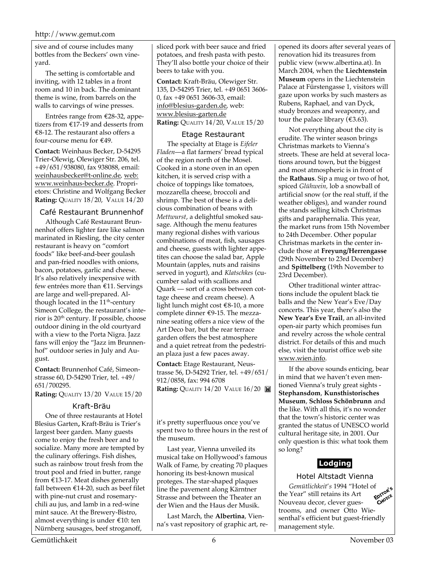sive and of course includes many bottles from the Beckers' own vineyard.

The setting is comfortable and inviting, with 12 tables in a front room and 10 in back. The dominant theme is wine, from barrels on the walls to carvings of wine presses.

Entrées range from €28-32, appetizers from €17-19 and desserts from €8-12. The restaurant also offers a four-course menu for €49.

**Contact:** Weinhaus Becker, D-54295 Trier-Olewig, Olewiger Str. 206, tel. +49/651/938080, fax 938088, email: weinhausbecker@t-online.de, web: www.weinhaus-becker.de. Proprietors: Christine and Wolfgang Becker **Rating:** QUALITY 18/20, VALUE 14/20

# Café Restaurant Brunnenhof

Although Café Restaurant Brunnenhof offers lighter fare like salmon marinated in Riesling, the city center restaurant is heavy on "comfort foods" like beef-and-beer goulash and pan-fried noodles with onions, bacon, potatoes, garlic and cheese. It's also relatively inexpensive with few entrées more than €11. Servings are large and well-prepared. Although located in the  $11<sup>th</sup>$ -century Simeon College, the restaurant's interior is 20<sup>th</sup> century. If possible, choose outdoor dining in the old courtyard with a view to the Porta Nigra. Jazz fans will enjoy the "Jazz im Brunnenhof" outdoor series in July and August.

**Contact:** Brunnenhof Café, Simeonstrasse 60, D-54290 Trier, tel. +49/ 651/700295.

**Rating:** QUALITY 13/20 VALUE 15/20

# Kraft-Bräu

One of three restaurants at Hotel Blesius Garten**,** Kraft-Bräu is Trier's largest beer garden. Many guests come to enjoy the fresh beer and to socialize. Many more are tempted by the culinary offerings. Fish dishes, such as rainbow trout fresh from the trout pool and fried in butter, range from  $£13-17$ . Meat dishes generally fall between €14-20, such as beef filet with pine-nut crust and rosemarychili au jus, and lamb in a red-wine mint sauce. At the Brewery-Bistro, almost everything is under €10: ten Nürnberg sausages, beef stroganoff,

sliced pork with beer sauce and fried potatoes, and fresh pasta with pesto. They'll also bottle your choice of their beers to take with you.

**Contact:** Kraft-Bräu, Olewiger Str. 135, D-54295 Trier, tel. +49 0651 3606- 0, fax +49 0651 3606-33, email: info@blesius-garden.de, web: www.blesius-garten.de **Rating:** QUALITY 14/20, VALUE 15/20

# Etage Restaurant

The specialty at Etage is *Eifeler Fladen*—a flat farmers' bread typical of the region north of the Mosel. Cooked in a stone oven in an open kitchen, it is served crisp with a choice of toppings like tomatoes, mozzarella cheese, broccoli and shrimp. The best of these is a delicious combination of beans with *Mettwurst*, a delightful smoked sausage. Although the menu features many regional dishes with various combinations of meat, fish, sausages and cheese, guests with lighter appetites can choose the salad bar, Apple Mountain (apples, nuts and raisins served in yogurt), and *Klatschkes* (cucumber salad with scallions and Quark — sort of a cross between cottage cheese and cream cheese). A light lunch might cost €8-10, a more complete dinner €9-15. The mezzanine seating offers a nice view of the Art Deco bar, but the rear terrace garden offers the best atmosphere and a quiet retreat from the pedestrian plaza just a few paces away.

**Contact:** Etage Restaurant, Neustrasse 56, D-54292 Trier, tel. +49/651/ 912/0858, fax: 994 6708 **Rating: OUALITY 14/20 VALUE 16/20 <b>M** 

it's pretty superfluous once you've spent two to three hours in the rest of the museum.

Last year, Vienna unveiled its musical take on Hollywood's famous Walk of Fame, by creating 70 plaques honoring its best-known musical proteges. The star-shaped plaques line the pavement along Kärntner Strasse and between the Theater an der Wien and the Haus der Musik.

Last March, the **Albertina**, Vienna's vast repository of graphic art, reopened its doors after several years of renovation hid its treasures from public view (www.albertina.at). In March 2004, when the **Liechtenstein Museum** opens in the Liechtenstein Palace at Fürstengasse 1, visitors will gaze upon works by such masters as Rubens, Raphael, and van Dyck, study bronzes and weaponry, and tour the palace library ( $€3.63$ ).

Not everything about the city is erudite. The winter season brings Christmas markets to Vienna's streets. These are held at several locations around town, but the biggest and most atmospheric is in front of the **Rathaus**. Sip a mug or two of hot, spiced *Glühwein,* lob a snowball of artificial snow (or the real stuff, if the weather obliges), and wander round the stands selling kitsch Christmas gifts and paraphernalia. This year, the market runs from 15th November to 24th December. Other popular Christmas markets in the center include those at **Freyung/Herrengasse** (29th November to 23rd December) and **Spittelberg** (19th November to 23rd December).

Other traditional winter attractions include the opulent black tie balls and the New Year's Eve/Day concerts. This year, there's also the **New Year's Eve Trail**, an all-invited open-air party which promises fun and revelry across the whole central district. For details of this and much else, visit the tourist office web site www.wien.info.

If the above sounds enticing, bear in mind that we haven't even mentioned Vienna's truly great sights - **Stephansdom**, **Kunsthistorisches Museum**, **Schloss Schönbrunn** and the like. With all this, it's no wonder that the town's historic center was granted the status of UNESCO world cultural heritage site, in 2001. Our only question is this: what took them so long?

# **Lodging**

Hotel Altstadt Vienna

*Gemütlichkeit's* 1994 "Hotel of Year" still retains its  $\Delta r$ <sup>4</sup> CHOICE the Year" still retains its Art Nouveau decor, clever guestrooms, and owner Otto Wiesenthal's efficient but guest-friendly management style.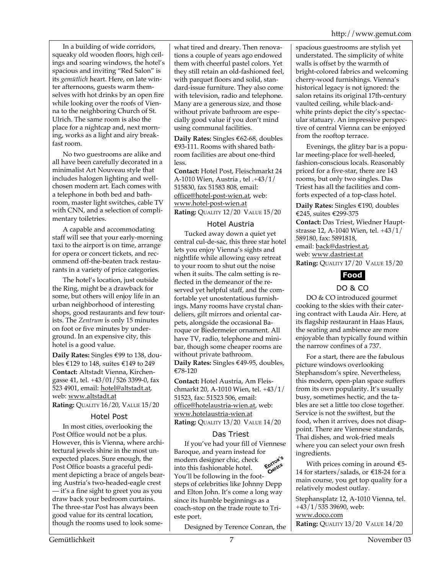In a building of wide corridors, squeaky old wooden floors, high ceilings and soaring windows, the hotel's spacious and inviting "Red Salon" is its *gemütlich* heart. Here, on late winter afternoons, guests warm themselves with hot drinks by an open fire while looking over the roofs of Vienna to the neighboring Church of St. Ulrich. The same room is also the place for a nightcap and, next morning, works as a light and airy breakfast room.

No two guestrooms are alike and all have been carefully decorated in a minimalist Art Nouveau style that includes halogen lighting and wellchosen modern art. Each comes with a telephone in both bed and bathroom, master light switches, cable TV with CNN, and a selection of complimentary toiletries.

A capable and accommodating staff will see that your early-morning taxi to the airport is on time, arrange for opera or concert tickets, and recommend off-the-beaten track restaurants in a variety of price categories.

The hotel's location, just outside the Ring, might be a drawback for some, but others will enjoy life in an urban neighborhood of interesting shops, good restaurants and few tourists. The *Zentrum* is only 15 minutes on foot or five minutes by underground. In an expensive city, this hotel is a good value.

**Daily Rates:** Singles €99 to 138, doubles  $\text{\textsterling}129$  to 148, suites  $\text{\textsterling}149$  to 249 **Contact:** Altstadt Vienna, Kirchengasse 41, tel. +43/01/526 3399-0, fax 523 4901, email: hotel@altstadt.at, web: www.altstadt.at

**Rating:** QUALITY 16/20, VALUE 15/20

# Hotel Post

In most cities, overlooking the Post Office would not be a plus. However, this is Vienna, where architectural jewels shine in the most unexpected places. Sure enough, the Post Office boasts a graceful pediment depicting a brace of angels bearing Austria's two-headed-eagle crest — it's a fine sight to greet you as you draw back your bedroom curtains. The three-star Post has always been good value for its central location, though the rooms used to look somewhat tired and dreary. Then renovations a couple of years ago endowed them with cheerful pastel colors. Yet they still retain an old-fashioned feel, with parquet floors and solid, standard-issue furniture. They also come with television, radio and telephone. Many are a generous size, and those without private bathroom are especially good value if you don't mind using communal facilities.

**Daily Rates:** Singles €62-68, doubles €93-111. Rooms with shared bathroom facilities are about one-third less.

**Contact:** Hotel Post, Fleischmarkt 24 A-1010 Wien, Austria , tel .+43/1/ 515830, fax 51583 808, email: office@hotel-post-wien.at, web: www.hotel-post-wien.at **Rating:** QUALITY 12/20 VALUE 15/20

# Hotel Austria

Tucked away down a quiet yet central cul-de-sac, this three star hotel lets you enjoy Vienna's sights and nightlife while allowing easy retreat to your room to shut out the noise when it suits. The calm setting is reflected in the demeanor of the reserved yet helpful staff, and the comfortable yet unostentatious furnishings. Many rooms have crystal chandeliers, gilt mirrors and oriental carpets, alongside the occasional Baroque or Biedermeier ornament. All have TV, radio, telephone and minibar, though some cheaper rooms are without private bathroom. **Daily Rates:** Singles €49-95, doubles, €78-120

**Contact:** Hotel Austria, Am Fleischmarkt 20, A-1010 Wien, tel. +43/1/ 51523, fax: 51523 506, email: office@hotelaustria-wien.at, web: www.hotelaustria-wien.at **Rating:** QUALITY 13/20 VALUE 14/20

# Das Triest

If you've had your fill of Viennese Baroque, and yearn instead for<br>modern designer chic, check<br>into this feel modern designer chic, check into this fashionable hotel. You'll be following in the footsteps of celebrities like Johnny Depp and Elton John. It's come a long way since its humble beginnings as a coach-stop on the trade route to Trieste port.

Designed by Terence Conran, the

spacious guestrooms are stylish yet understated. The simplicity of white walls is offset by the warmth of bright-colored fabrics and welcoming cherry-wood furnishings. Vienna's historical legacy is not ignored: the salon retains its original 17th-century vaulted ceiling, while black-andwhite prints depict the city's spectacular statuary. An impressive perspective of central Vienna can be enjoyed from the rooftop terrace.

Evenings, the glitzy bar is a popular meeting-place for well-heeled, fashion-conscious locals. Reasonably priced for a five-star, there are 143 rooms, but only two singles. Das Triest has all the facilities and comforts expected of a top-class hotel.

**Daily Rates:** Singles €190, doubles €245, suites €299-375 **Contact:** Das Triest, Wiedner Hauptstrasse 12, A-1040 Wien, tel. +43/1/ 589180, fax: 5891818, email: back@dastriest.at, web: www.dastriest.at **Rating:** QUALITY 17/20 VALUE 15/20



# DO & CO

DO & CO introduced gourmet cooking to the skies with their catering contract with Lauda Air. Here, at its flagship restaurant in Haas Haus, the seating and ambience are more enjoyable than typically found within the narrow confines of a 737.

For a start, there are the fabulous picture windows overlooking Stephansdom's spire. Nevertheless, this modern, open-plan space suffers from its own popularity. It's usually busy, sometimes hectic, and the tables are set a little too close together. Service is not the swiftest, but the food, when it arrives, does not disappoint. There are Viennese standards, Thai dishes, and wok-fried meals where you can select your own fresh ingredients.

With prices coming in around  $E$ 5-14 for starters/salads, or €18-24 for a main course, you get top quality for a relatively modest outlay.

Stephansplatz 12, A-1010 Vienna, tel.  $+43/1/535$  39690, web: www.doco.com **Rating:** QUALITY 13/20 VALUE 14/20